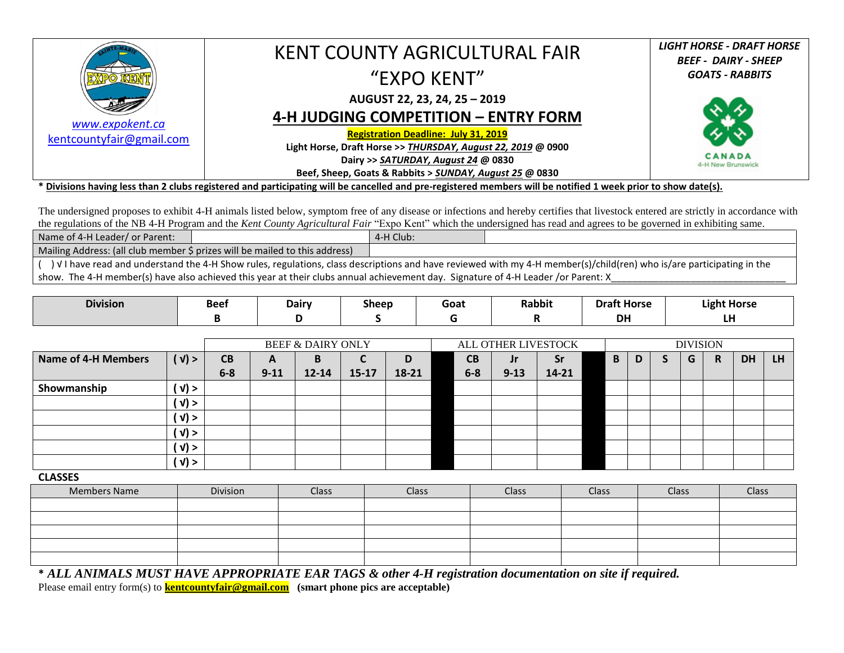|                          | KENT COUNTY AGRICULTURAL FAIR                                | <b>LIGHT HORSE - DRAFT HORSE</b>   |
|--------------------------|--------------------------------------------------------------|------------------------------------|
|                          |                                                              | <b>BEEF - DAIRY - SHEEP</b>        |
|                          | "EXPO KENT"                                                  | <b>GOATS - RABBITS</b>             |
|                          |                                                              |                                    |
|                          | AUGUST 22, 23, 24, 25 - 2019                                 |                                    |
| www.expokent.ca          | 4-H JUDGING COMPETITION - ENTRY FORM                         |                                    |
| kentcountyfair@gmail.com | <b>Registration Deadline: July 31, 2019</b>                  |                                    |
|                          | Light Horse, Draft Horse >> THURSDAY, August 22, 2019 @ 0900 |                                    |
|                          | Dairy >> SATURDAY, August 24 @ 0830                          | <b>CANADA</b><br>4-H New Brunswick |
|                          | Beef, Sheep, Goats & Rabbits > SUNDAY, August 25 @ 0830      |                                    |

**\* Divisions having less than 2 clubs registered and participating will be cancelled and pre-registered members will be notified 1 week prior to show date(s).**

The undersigned proposes to exhibit 4-H animals listed below, symptom free of any disease or infections and hereby certifies that livestock entered are strictly in accordance with the regulations of the NB 4-H Program and the *Kent County Agricultural Fair* "Expo Kent" which the undersigned has read and agrees to be governed in exhibiting same.

| Name of 4-H Leader/ or Parent:                                                                                                                                        |  | 4-H Club: |  |  |  |  |  |  |  |  |
|-----------------------------------------------------------------------------------------------------------------------------------------------------------------------|--|-----------|--|--|--|--|--|--|--|--|
| Mailing Address: (all club member \$ prizes will be mailed to this address)                                                                                           |  |           |  |  |  |  |  |  |  |  |
| ) V I have read and understand the 4-H Show rules, regulations, class descriptions and have reviewed with my 4-H member(s)/child(ren) who is/are participating in the |  |           |  |  |  |  |  |  |  |  |
| show. The 4-H member(s) have also achieved this year at their clubs annual achievement day. Signature of 4-H Leader /or Parent: X                                     |  |           |  |  |  |  |  |  |  |  |

| <b>Division</b> | <b>Beet</b> | <b>Dairy</b> | $\sim$<br><b>Sheep</b> | Goat | <b>Rabbit</b> | <b>Draft Horse</b> | <b>Light Horse</b> |
|-----------------|-------------|--------------|------------------------|------|---------------|--------------------|--------------------|
|                 |             |              |                        |      |               | <b>DH</b>          | .<br>ы             |

|                     |                     |         | <b>BEEF &amp; DAIRY ONLY</b> |           |           |       |  | ALL OTHER LIVESTOCK |          |           |  |   | <b>DIVISION</b> |  |   |   |           |           |  |  |
|---------------------|---------------------|---------|------------------------------|-----------|-----------|-------|--|---------------------|----------|-----------|--|---|-----------------|--|---|---|-----------|-----------|--|--|
| Name of 4-H Members | (y)                 | CВ      | A                            | В         | ∼         |       |  | CВ                  | Jr       | <b>Sr</b> |  | B | D               |  | G | R | <b>DH</b> | <b>LH</b> |  |  |
|                     |                     | $6 - 8$ | $9 - 11$                     | $12 - 14$ | $15 - 17$ | 18-21 |  | $6-8$               | $9 - 13$ | $14 - 21$ |  |   |                 |  |   |   |           |           |  |  |
| Showmanship         | ( v) >              |         |                              |           |           |       |  |                     |          |           |  |   |                 |  |   |   |           |           |  |  |
|                     | $'$ V) $>$          |         |                              |           |           |       |  |                     |          |           |  |   |                 |  |   |   |           |           |  |  |
|                     | ( v) >              |         |                              |           |           |       |  |                     |          |           |  |   |                 |  |   |   |           |           |  |  |
|                     | ( √) >              |         |                              |           |           |       |  |                     |          |           |  |   |                 |  |   |   |           |           |  |  |
|                     | $\langle V \rangle$ |         |                              |           |           |       |  |                     |          |           |  |   |                 |  |   |   |           |           |  |  |
|                     | $(y)$ >             |         |                              |           |           |       |  |                     |          |           |  |   |                 |  |   |   |           |           |  |  |

**CLASSES** 

| <b>Members Name</b> | Division | Class | Class | <b>Class</b> | <b>Class</b> | <b>Class</b> | Class |
|---------------------|----------|-------|-------|--------------|--------------|--------------|-------|
|                     |          |       |       |              |              |              |       |
|                     |          |       |       |              |              |              |       |
|                     |          |       |       |              |              |              |       |
|                     |          |       |       |              |              |              |       |
|                     |          |       |       |              |              |              |       |

**\*** *ALL ANIMALS MUST HAVE APPROPRIATE EAR TAGS & other 4-H registration documentation on site if required.* Please email entry form(s) to **kentcountyfair@gmail.com** (smart phone pics are acceptable)